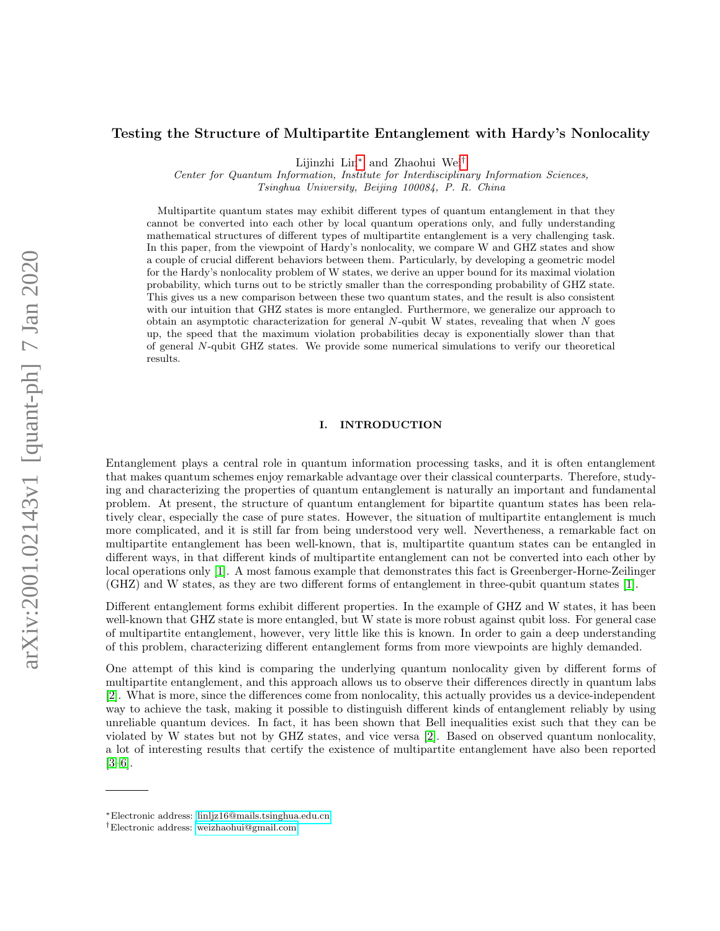## Testing the Structure of Multipartite Entanglement with Hardy's Nonlocality

Lijinzhi Lin[∗](#page-0-0) and Zhaohui Wei[†](#page-0-1)

Center for Quantum Information, Institute for Interdisciplinary Information Sciences, Tsinghua University, Beijing 100084, P. R. China

Multipartite quantum states may exhibit different types of quantum entanglement in that they cannot be converted into each other by local quantum operations only, and fully understanding mathematical structures of different types of multipartite entanglement is a very challenging task. In this paper, from the viewpoint of Hardy's nonlocality, we compare W and GHZ states and show a couple of crucial different behaviors between them. Particularly, by developing a geometric model for the Hardy's nonlocality problem of W states, we derive an upper bound for its maximal violation probability, which turns out to be strictly smaller than the corresponding probability of GHZ state. This gives us a new comparison between these two quantum states, and the result is also consistent with our intuition that GHZ states is more entangled. Furthermore, we generalize our approach to obtain an asymptotic characterization for general  $N$ -qubit W states, revealing that when  $N$  goes up, the speed that the maximum violation probabilities decay is exponentially slower than that of general N-qubit GHZ states. We provide some numerical simulations to verify our theoretical results.

## I. INTRODUCTION

Entanglement plays a central role in quantum information processing tasks, and it is often entanglement that makes quantum schemes enjoy remarkable advantage over their classical counterparts. Therefore, studying and characterizing the properties of quantum entanglement is naturally an important and fundamental problem. At present, the structure of quantum entanglement for bipartite quantum states has been relatively clear, especially the case of pure states. However, the situation of multipartite entanglement is much more complicated, and it is still far from being understood very well. Nevertheness, a remarkable fact on multipartite entanglement has been well-known, that is, multipartite quantum states can be entangled in different ways, in that different kinds of multipartite entanglement can not be converted into each other by local operations only [\[1\]](#page-12-0). A most famous example that demonstrates this fact is Greenberger-Horne-Zeilinger (GHZ) and W states, as they are two different forms of entanglement in three-qubit quantum states [\[1\]](#page-12-0).

Different entanglement forms exhibit different properties. In the example of GHZ and W states, it has been well-known that GHZ state is more entangled, but W state is more robust against qubit loss. For general case of multipartite entanglement, however, very little like this is known. In order to gain a deep understanding of this problem, characterizing different entanglement forms from more viewpoints are highly demanded.

One attempt of this kind is comparing the underlying quantum nonlocality given by different forms of multipartite entanglement, and this approach allows us to observe their differences directly in quantum labs [\[2\]](#page-12-1). What is more, since the differences come from nonlocality, this actually provides us a device-independent way to achieve the task, making it possible to distinguish different kinds of entanglement reliably by using unreliable quantum devices. In fact, it has been shown that Bell inequalities exist such that they can be violated by W states but not by GHZ states, and vice versa [\[2\]](#page-12-1). Based on observed quantum nonlocality, a lot of interesting results that certify the existence of multipartite entanglement have also been reported [\[3–](#page-12-2)[6\]](#page-12-3).

<span id="page-0-0"></span><sup>∗</sup>Electronic address: [linljz16@mails.tsinghua.edu.cn](mailto:linljz16@mails.tsinghua.edu.cn)

<span id="page-0-1"></span><sup>†</sup>Electronic address: [weizhaohui@gmail.com](mailto:weizhaohui@gmail.com)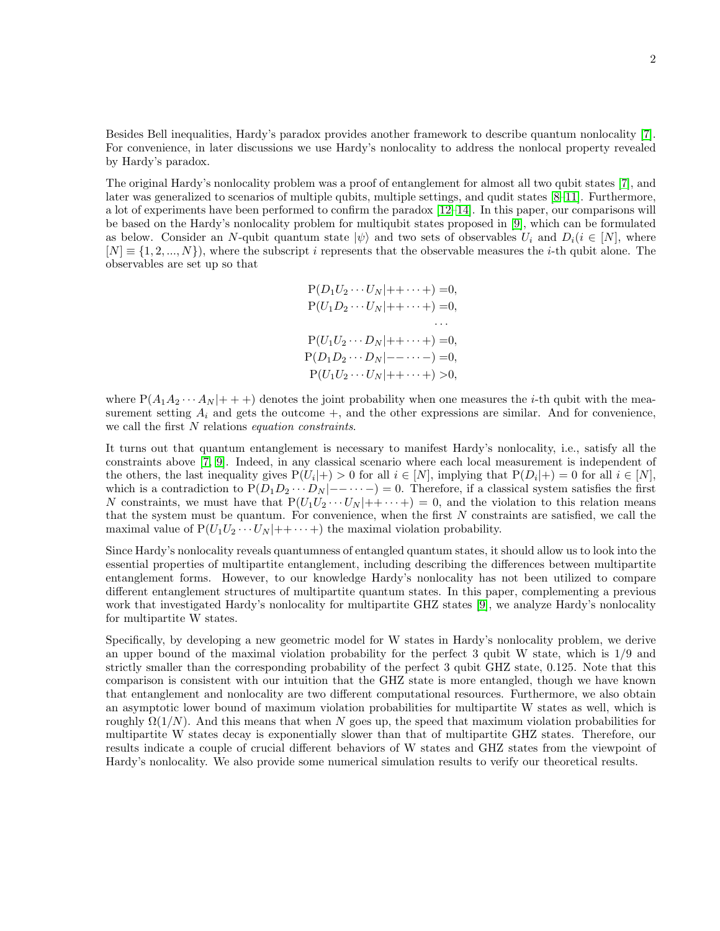Besides Bell inequalities, Hardy's paradox provides another framework to describe quantum nonlocality [\[7\]](#page-12-4). For convenience, in later discussions we use Hardy's nonlocality to address the nonlocal property revealed by Hardy's paradox.

The original Hardy's nonlocality problem was a proof of entanglement for almost all two qubit states [\[7\]](#page-12-4), and later was generalized to scenarios of multiple qubits, multiple settings, and qudit states [\[8–](#page-12-5)[11\]](#page-12-6). Furthermore, a lot of experiments have been performed to confirm the paradox [\[12–](#page-12-7)[14\]](#page-12-8). In this paper, our comparisons will be based on the Hardy's nonlocality problem for multiqubit states proposed in [\[9\]](#page-12-9), which can be formulated as below. Consider an N-qubit quantum state  $|\psi\rangle$  and two sets of observables  $U_i$  and  $D_i(i \in [N],$  where  $[N] \equiv \{1, 2, ..., N\}$ , where the subscript i represents that the observable measures the i-th qubit alone. The observables are set up so that

$$
P(D_1U_2\cdots U_N|++\cdots+)=0,
$$
  
\n
$$
P(U_1D_2\cdots U_N|++\cdots+)=0,
$$
  
\n
$$
\cdots
$$
  
\n
$$
P(U_1U_2\cdots D_N|+-\cdots+)=0,
$$
  
\n
$$
P(D_1D_2\cdots D_N|--\cdots-)=0,
$$
  
\n
$$
P(U_1U_2\cdots U_N|++\cdots+)>0,
$$

where  $P(A_1A_2\cdots A_N|+++)$  denotes the joint probability when one measures the *i*-th qubit with the measurement setting  $A_i$  and gets the outcome  $+$ , and the other expressions are similar. And for convenience, we call the first N relations equation constraints.

It turns out that quantum entanglement is necessary to manifest Hardy's nonlocality, i.e., satisfy all the constraints above [\[7,](#page-12-4) [9\]](#page-12-9). Indeed, in any classical scenario where each local measurement is independent of the others, the last inequality gives  $P(U_i|+) > 0$  for all  $i \in [N]$ , implying that  $P(D_i|+) = 0$  for all  $i \in [N]$ , which is a contradiction to  $P(D_1D_2 \cdots D_N | -- \cdots -)=0$ . Therefore, if a classical system satisfies the first N constraints, we must have that  $P(U_1U_2\cdots U_N|+\cdots+)=0$ , and the violation to this relation means that the system must be quantum. For convenience, when the first  $N$  constraints are satisfied, we call the maximal value of  $P(U_1U_2\cdots U_N|++\cdots+)$  the maximal violation probability.

Since Hardy's nonlocality reveals quantumness of entangled quantum states, it should allow us to look into the essential properties of multipartite entanglement, including describing the differences between multipartite entanglement forms. However, to our knowledge Hardy's nonlocality has not been utilized to compare different entanglement structures of multipartite quantum states. In this paper, complementing a previous work that investigated Hardy's nonlocality for multipartite GHZ states [\[9\]](#page-12-9), we analyze Hardy's nonlocality for multipartite W states.

Specifically, by developing a new geometric model for W states in Hardy's nonlocality problem, we derive an upper bound of the maximal violation probability for the perfect 3 qubit W state, which is 1/9 and strictly smaller than the corresponding probability of the perfect 3 qubit GHZ state, 0.125. Note that this comparison is consistent with our intuition that the GHZ state is more entangled, though we have known that entanglement and nonlocality are two different computational resources. Furthermore, we also obtain an asymptotic lower bound of maximum violation probabilities for multipartite W states as well, which is roughly  $\Omega(1/N)$ . And this means that when N goes up, the speed that maximum violation probabilities for multipartite W states decay is exponentially slower than that of multipartite GHZ states. Therefore, our results indicate a couple of crucial different behaviors of W states and GHZ states from the viewpoint of Hardy's nonlocality. We also provide some numerical simulation results to verify our theoretical results.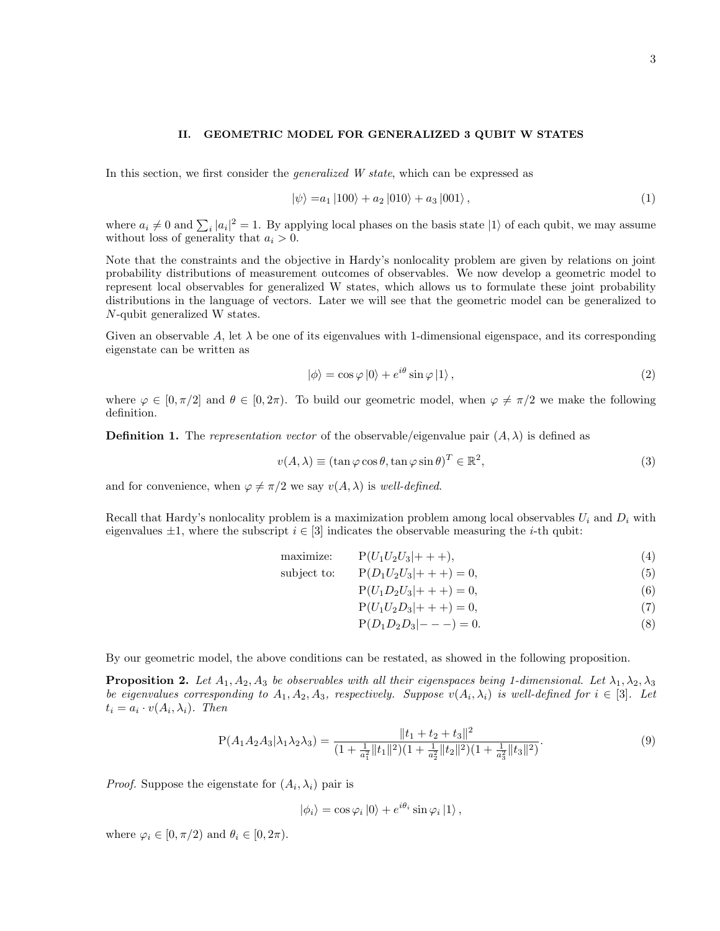### II. GEOMETRIC MODEL FOR GENERALIZED 3 QUBIT W STATES

In this section, we first consider the generalized W state, which can be expressed as

$$
|\psi\rangle = a_1 |100\rangle + a_2 |010\rangle + a_3 |001\rangle, \qquad (1)
$$

where  $a_i \neq 0$  and  $\sum_i |a_i|^2 = 1$ . By applying local phases on the basis state  $|1\rangle$  of each qubit, we may assume without loss of generality that  $a_i > 0$ .

Note that the constraints and the objective in Hardy's nonlocality problem are given by relations on joint probability distributions of measurement outcomes of observables. We now develop a geometric model to represent local observables for generalized W states, which allows us to formulate these joint probability distributions in the language of vectors. Later we will see that the geometric model can be generalized to N-qubit generalized W states.

Given an observable A, let  $\lambda$  be one of its eigenvalues with 1-dimensional eigenspace, and its corresponding eigenstate can be written as

$$
|\phi\rangle = \cos\varphi|0\rangle + e^{i\theta}\sin\varphi|1\rangle, \qquad (2)
$$

where  $\varphi \in [0, \pi/2]$  and  $\theta \in [0, 2\pi)$ . To build our geometric model, when  $\varphi \neq \pi/2$  we make the following definition.

<span id="page-2-0"></span>**Definition 1.** The representation vector of the observable/eigenvalue pair  $(A, \lambda)$  is defined as

$$
v(A, \lambda) \equiv (\tan \varphi \cos \theta, \tan \varphi \sin \theta)^T \in \mathbb{R}^2,
$$
\n(3)

and for convenience, when  $\varphi \neq \pi/2$  we say  $v(A, \lambda)$  is well-defined.

Recall that Hardy's nonlocality problem is a maximization problem among local observables  $U_i$  and  $D_i$  with eigenvalues  $\pm 1$ , where the subscript  $i \in [3]$  indicates the observable measuring the *i*-th qubit:

$$
\text{maximize:} \qquad \mathbf{P}(U_1 U_2 U_3 |+++), \tag{4}
$$

subject to: 
$$
P(D_1U_2U_3|+++)=0,
$$
 (5)

$$
P(U_1D_2U_3|+++)=0,
$$
\n(6)

$$
P(U_1U_2D_3|+++)=0,
$$
\n(7)

<span id="page-2-2"></span><span id="page-2-1"></span>
$$
P(D_1D_2D_3|---)=0.\t\t(8)
$$

By our geometric model, the above conditions can be restated, as showed in the following proposition.

**Proposition 2.** Let  $A_1, A_2, A_3$  be observables with all their eigenspaces being 1-dimensional. Let  $\lambda_1, \lambda_2, \lambda_3$ be eigenvalues corresponding to  $A_1, A_2, A_3$ , respectively. Suppose  $v(A_i, \lambda_i)$  is well-defined for  $i \in [3]$ . Let  $t_i = a_i \cdot v(A_i, \lambda_i)$ . Then

$$
P(A_1 A_2 A_3 | \lambda_1 \lambda_2 \lambda_3) = \frac{\|t_1 + t_2 + t_3\|^2}{(1 + \frac{1}{a_1^2} \|t_1\|^2)(1 + \frac{1}{a_2^2} \|t_2\|^2)(1 + \frac{1}{a_3^2} \|t_3\|^2)}.
$$
\n(9)

*Proof.* Suppose the eigenstate for  $(A_i, \lambda_i)$  pair is

$$
|\phi_i\rangle = \cos\varphi_i|0\rangle + e^{i\theta_i}\sin\varphi_i|1\rangle,
$$

where  $\varphi_i \in [0, \pi/2)$  and  $\theta_i \in [0, 2\pi)$ .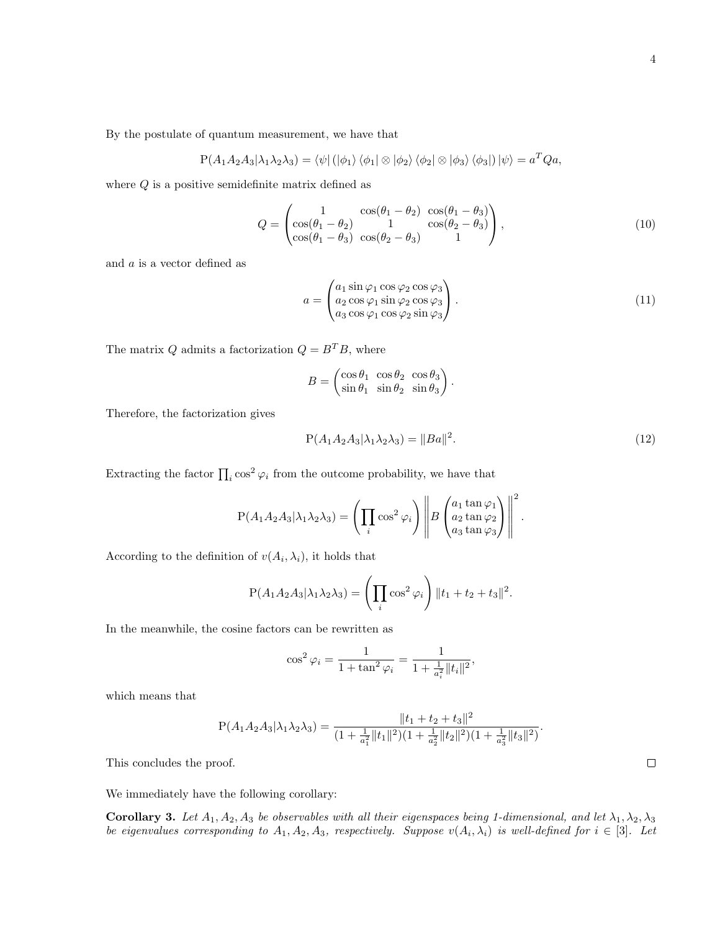By the postulate of quantum measurement, we have that

$$
P(A_1A_2A_3|\lambda_1\lambda_2\lambda_3) = \langle \psi | (|\phi_1\rangle \langle \phi_1 | \otimes |\phi_2\rangle \langle \phi_2 | \otimes |\phi_3\rangle \langle \phi_3 |) |\psi\rangle = a^T Q a,
$$

where  $Q$  is a positive semidefinite matrix defined as

$$
Q = \begin{pmatrix} 1 & \cos(\theta_1 - \theta_2) & \cos(\theta_1 - \theta_3) \\ \cos(\theta_1 - \theta_2) & 1 & \cos(\theta_2 - \theta_3) \\ \cos(\theta_1 - \theta_3) & \cos(\theta_2 - \theta_3) & 1 \end{pmatrix},
$$
(10)

and a is a vector defined as

<span id="page-3-1"></span>
$$
a = \begin{pmatrix} a_1 \sin \varphi_1 \cos \varphi_2 \cos \varphi_3 \\ a_2 \cos \varphi_1 \sin \varphi_2 \cos \varphi_3 \\ a_3 \cos \varphi_1 \cos \varphi_2 \sin \varphi_3 \end{pmatrix} . \tag{11}
$$

The matrix  $Q$  admits a factorization  $Q = B^T B,$  where

$$
B = \begin{pmatrix} \cos \theta_1 & \cos \theta_2 & \cos \theta_3 \\ \sin \theta_1 & \sin \theta_2 & \sin \theta_3 \end{pmatrix}.
$$

Therefore, the factorization gives

<span id="page-3-2"></span>
$$
P(A_1 A_2 A_3 | \lambda_1 \lambda_2 \lambda_3) = ||Ba||^2.
$$
 (12)

Extracting the factor  $\prod_i \cos^2 \varphi_i$  from the outcome probability, we have that

$$
P(A_1 A_2 A_3 | \lambda_1 \lambda_2 \lambda_3) = \left( \prod_i \cos^2 \varphi_i \right) \left\| B \begin{pmatrix} a_1 \tan \varphi_1 \\ a_2 \tan \varphi_2 \\ a_3 \tan \varphi_3 \end{pmatrix} \right\|^2.
$$

According to the definition of  $v(A_i, \lambda_i)$ , it holds that

$$
P(A_1A_2A_3|\lambda_1\lambda_2\lambda_3) = \left(\prod_i \cos^2 \varphi_i\right) ||t_1 + t_2 + t_3||^2.
$$

In the meanwhile, the cosine factors can be rewritten as

$$
\cos^2 \varphi_i = \frac{1}{1 + \tan^2 \varphi_i} = \frac{1}{1 + \frac{1}{a_i^2} ||t_i||^2},
$$

which means that

$$
P(A_1A_2A_3|\lambda_1\lambda_2\lambda_3) = \frac{\|t_1 + t_2 + t_3\|^2}{(1 + \frac{1}{a_1^2}\|t_1\|^2)(1 + \frac{1}{a_2^2}\|t_2\|^2)(1 + \frac{1}{a_3^2}\|t_3\|^2)}.
$$

This concludes the proof.

We immediately have the following corollary:

<span id="page-3-0"></span>Corollary 3. Let  $A_1, A_2, A_3$  be observables with all their eigenspaces being 1-dimensional, and let  $\lambda_1, \lambda_2, \lambda_3$ be eigenvalues corresponding to  $A_1, A_2, A_3$ , respectively. Suppose  $v(A_i, \lambda_i)$  is well-defined for  $i \in [3]$ . Let

 $\Box$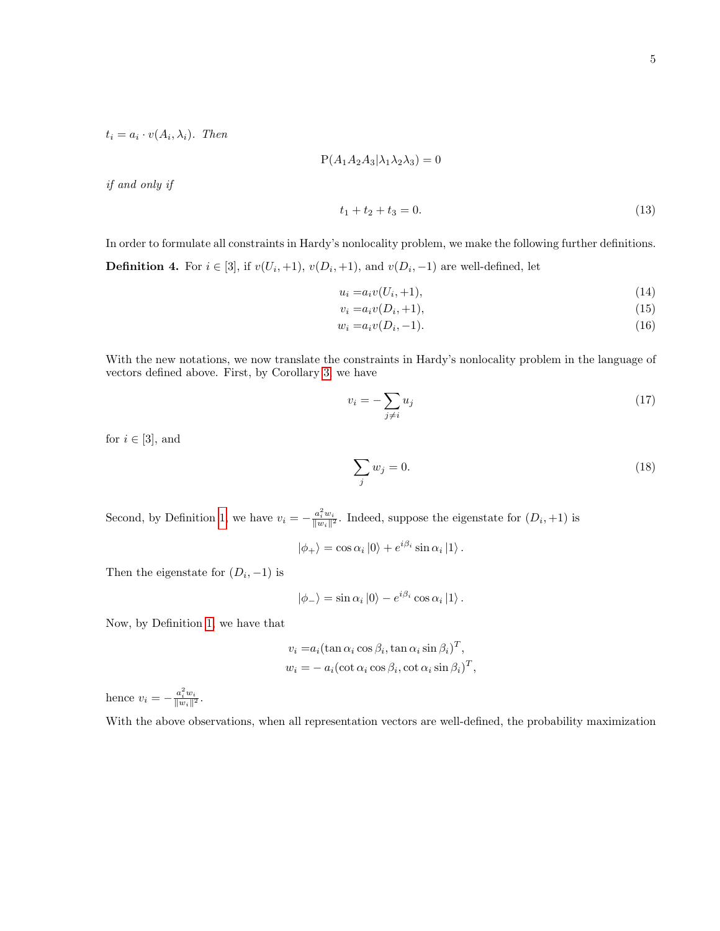$t_i = a_i \cdot v(A_i, \lambda_i)$ . Then

$$
P(A_1A_2A_3|\lambda_1\lambda_2\lambda_3) = 0
$$

if and only if

$$
t_1 + t_2 + t_3 = 0.\t\t(13)
$$

In order to formulate all constraints in Hardy's nonlocality problem, we make the following further definitions. **Definition 4.** For  $i \in [3]$ , if  $v(U_i, +1)$ ,  $v(D_i, +1)$ , and  $v(D_i, -1)$  are well-defined, let

$$
u_i = a_i v(U_i, +1), \tag{14}
$$

$$
v_i = a_i v(D_i, +1),
$$
\n(15)

$$
w_i = a_i v(D_i, -1). \tag{16}
$$

With the new notations, we now translate the constraints in Hardy's nonlocality problem in the language of vectors defined above. First, by Corollary [3,](#page-3-0) we have

$$
v_i = -\sum_{j \neq i} u_j \tag{17}
$$

for  $i \in [3]$ , and

$$
\sum_{j} w_j = 0. \tag{18}
$$

Second, by Definition [1,](#page-2-0) we have  $v_i = -\frac{a_i^2 w_i}{||w_i||^2}$ . Indeed, suppose the eigenstate for  $(D_i, +1)$  is

$$
|\phi_{+}\rangle = \cos \alpha_{i} |0\rangle + e^{i\beta_{i}} \sin \alpha_{i} |1\rangle.
$$

Then the eigenstate for  $(D_i, -1)$  is

$$
|\phi_{-}\rangle = \sin \alpha_{i} |0\rangle - e^{i\beta_{i}} \cos \alpha_{i} |1\rangle.
$$

Now, by Definition [1,](#page-2-0) we have that

$$
v_i = a_i (\tan \alpha_i \cos \beta_i, \tan \alpha_i \sin \beta_i)^T,
$$
  

$$
w_i = -a_i (\cot \alpha_i \cos \beta_i, \cot \alpha_i \sin \beta_i)^T,
$$

hence  $v_i = -\frac{a_i^2 w_i}{\|w_i\|^2}$ .

With the above observations, when all representation vectors are well-defined, the probability maximization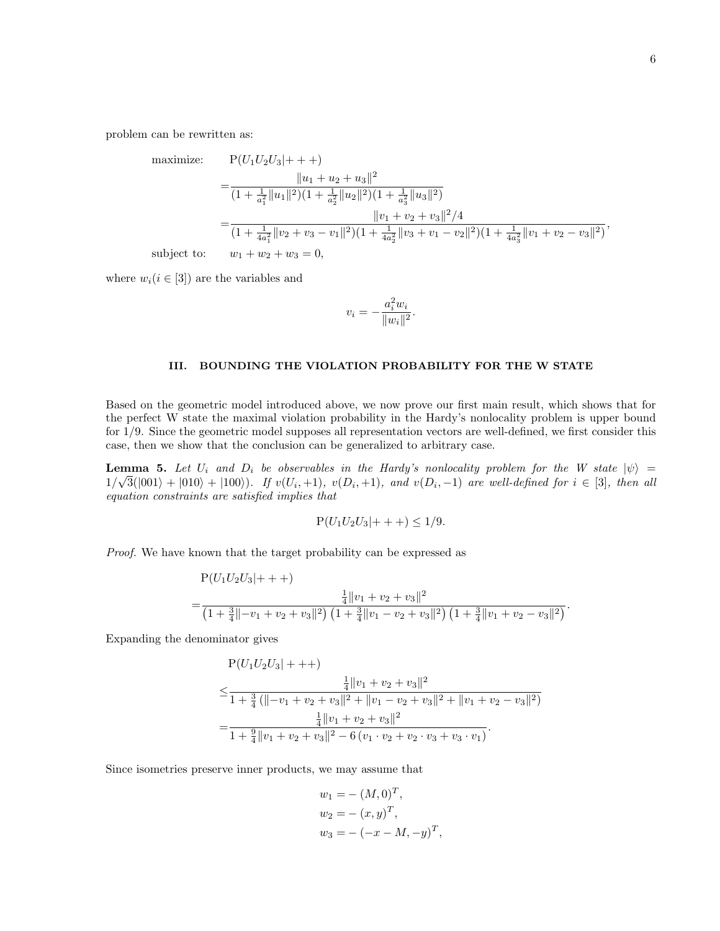problem can be rewritten as:

maximize: 
$$
P(U_1U_2U_3|+++)
$$
  
= 
$$
\frac{||u_1 + u_2 + u_3||^2}{(1 + \frac{1}{a_1^2} ||u_1||^2)(1 + \frac{1}{a_2^2} ||u_2||^2)(1 + \frac{1}{a_3^2} ||u_3||^2)}
$$
  
= 
$$
\frac{||v_1 + v_2 + v_3||^2/4}{(1 + \frac{1}{4a_1^2} ||v_2 + v_3 - v_1||^2)(1 + \frac{1}{4a_2^2} ||v_3 + v_1 - v_2||^2)(1 + \frac{1}{4a_3^2} ||v_1 + v_2 - v_3||^2)}
$$
,  
subject to: 
$$
w_1 + w_2 + w_3 = 0,
$$

where  $w_i(i \in [3])$  are the variables and

$$
v_i = -\frac{a_i^2 w_i}{\|w_i\|^2}.
$$

### III. BOUNDING THE VIOLATION PROBABILITY FOR THE W STATE

Based on the geometric model introduced above, we now prove our first main result, which shows that for the perfect W state the maximal violation probability in the Hardy's nonlocality problem is upper bound for 1/9. Since the geometric model supposes all representation vectors are well-defined, we first consider this case, then we show that the conclusion can be generalized to arbitrary case.

<span id="page-5-0"></span>**Lemma 5.** Let  $U_i$  and  $D_i$  be observables in the Hardy's nonlocality problem for the W state  $|\psi\rangle =$  $1/\sqrt{3}(|001\rangle + |010\rangle + |100\rangle)$ . If  $v(U_i, +1)$ ,  $v(D_i, +1)$ , and  $v(D_i, -1)$  are well-defined for  $i \in [3]$ , then all equation constraints are satisfied implies that

$$
P(U_1U_2U_3|+++)\leq 1/9.
$$

Proof. We have known that the target probability can be expressed as

 $P(X|Y|Y|Y|)$ 

$$
P(U_1U_2U_3|+++)=\frac{\frac{1}{4}||v_1+v_2+v_3||^2}{(1+\frac{3}{4}||-v_1+v_2+v_3||^2)(1+\frac{3}{4}||v_1-v_2+v_3||^2)(1+\frac{3}{4}||v_1+v_2-v_3||^2)}.
$$

Expanding the denominator gives

$$
P(U_1U_2U_3|+++)
$$
  
\n
$$
\leq \frac{\frac{1}{4}||v_1 + v_2 + v_3||^2}{1 + \frac{3}{4}(\|-v_1 + v_2 + v_3||^2 + ||v_1 - v_2 + v_3||^2 + ||v_1 + v_2 - v_3||^2)}
$$
  
\n
$$
= \frac{\frac{1}{4}||v_1 + v_2 + v_3||^2}{1 + \frac{9}{4}||v_1 + v_2 + v_3||^2 - 6(v_1 \cdot v_2 + v_2 \cdot v_3 + v_3 \cdot v_1)}.
$$

Since isometries preserve inner products, we may assume that

$$
w_1 = -(M, 0)^T,
$$
  
\n
$$
w_2 = -(x, y)^T,
$$
  
\n
$$
w_3 = -(x - M, -y)^T,
$$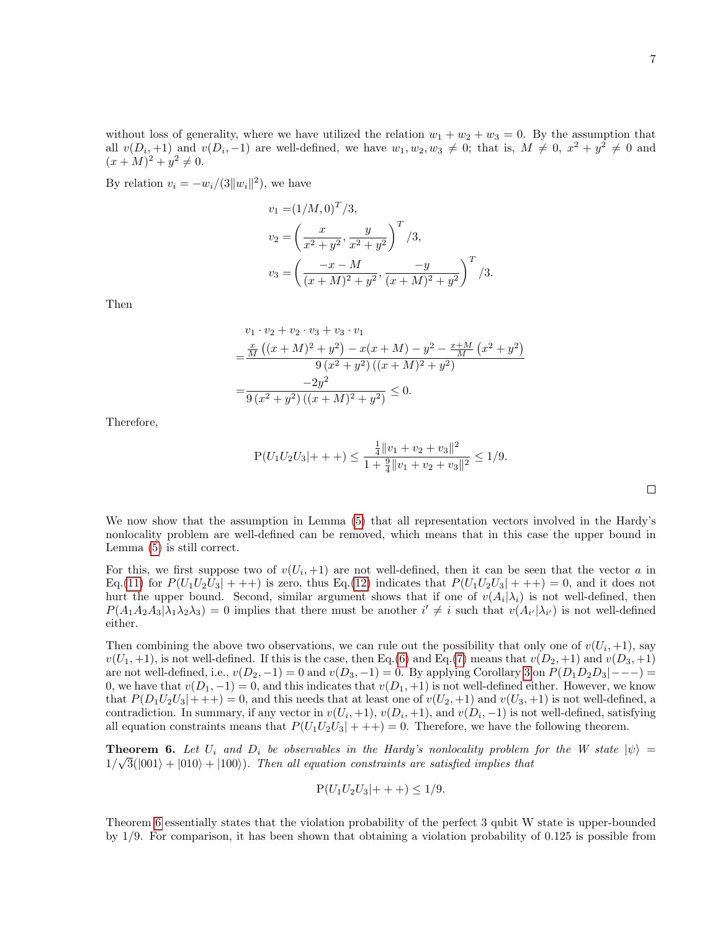$\Box$ 

without loss of generality, where we have utilized the relation  $w_1 + w_2 + w_3 = 0$ . By the assumption that all  $v(D_i, +1)$  and  $v(D_i, -1)$  are well-defined, we have  $w_1, w_2, w_3 \neq 0$ ; that is,  $M \neq 0, x^2 + y^2 \neq 0$  and  $(x + M)^2 + y^2 \neq 0.$ 

By relation  $v_i = -w_i/(3||w_i||^2)$ , we have

$$
v_1 = (1/M, 0)^T / 3,
$$
  
\n
$$
v_2 = \left(\frac{x}{x^2 + y^2}, \frac{y}{x^2 + y^2}\right)^T / 3,
$$
  
\n
$$
v_3 = \left(\frac{-x - M}{(x + M)^2 + y^2}, \frac{-y}{(x + M)^2 + y^2}\right)^T / 3.
$$

Then

$$
v_1 \cdot v_2 + v_2 \cdot v_3 + v_3 \cdot v_1
$$
  
= 
$$
\frac{\frac{x}{M} ((x + M)^2 + y^2) - x(x + M) - y^2 - \frac{x + M}{M} (x^2 + y^2)}{9 (x^2 + y^2) ((x + M)^2 + y^2)}
$$
  
= 
$$
\frac{-2y^2}{9 (x^2 + y^2) ((x + M)^2 + y^2)} \le 0.
$$

Therefore,

$$
P(U_1U_2U_3|+++) \le \frac{\frac{1}{4}||v_1 + v_2 + v_3||^2}{1 + \frac{9}{4}||v_1 + v_2 + v_3||^2} \le 1/9.
$$

We now show that the assumption in Lemma [\(5\)](#page-5-0) that all representation vectors involved in the Hardy's nonlocality problem are well-defined can be removed, which means that in this case the upper bound in Lemma [\(5\)](#page-5-0) is still correct.

For this, we first suppose two of  $v(U_i, +1)$  are not well-defined, then it can be seen that the vector a in Eq.[\(11\)](#page-3-1) for  $P(U_1U_2U_3|+++)$  is zero, thus Eq.[\(12\)](#page-3-2) indicates that  $P(U_1U_2U_3|+++) = 0$ , and it does not hurt the upper bound. Second, similar argument shows that if one of  $v(A_i|\lambda_i)$  is not well-defined, then  $P(A_1A_2A_3|\lambda_1\lambda_2\lambda_3)=0$  implies that there must be another  $i' \neq i$  such that  $v(A_{i'}|\lambda_{i'})$  is not well-defined either.

Then combining the above two observations, we can rule out the possibility that only one of  $v(U_i, +1)$ , say  $v(U_1, +1)$ , is not well-defined. If this is the case, then Eq.[\(6\)](#page-2-1) and Eq.[\(7\)](#page-2-2) means that  $v(D_2, +1)$  and  $v(D_3, +1)$ are not well-defined, i.e.,  $v(D_2, -1) = 0$  and  $v(D_3, -1) = 0$ . By applying Corollary [3](#page-3-0) on  $P(D_1D_2D_3|---) =$ 0, we have that  $v(D_1, -1) = 0$ , and this indicates that  $v(D_1, +1)$  is not well-defined either. However, we know that  $P(D_1U_2U_3|+++) = 0$ , and this needs that at least one of  $v(U_2, +1)$  and  $v(U_3, +1)$  is not well-defined, a contradiction. In summary, if any vector in  $v(U_i, +1)$ ,  $v(D_i, +1)$ , and  $v(D_i, -1)$  is not well-defined, satisfying all equation constraints means that  $P(U_1U_2U_3|+++) = 0$ . Therefore, we have the following theorem.

<span id="page-6-0"></span>**Theorem 6.** Let  $U_i$  and  $D_i$  be observables in the Hardy's nonlocality problem for the W state  $|\psi\rangle =$  $1/\sqrt{3}(|001\rangle + |010\rangle + |100\rangle)$ . Then all equation constraints are satisfied implies that

$$
P(U_1U_2U_3|+++)\leq 1/9.
$$

Theorem [6](#page-6-0) essentially states that the violation probability of the perfect 3 qubit W state is upper-bounded by 1/9. For comparison, it has been shown that obtaining a violation probability of 0.125 is possible from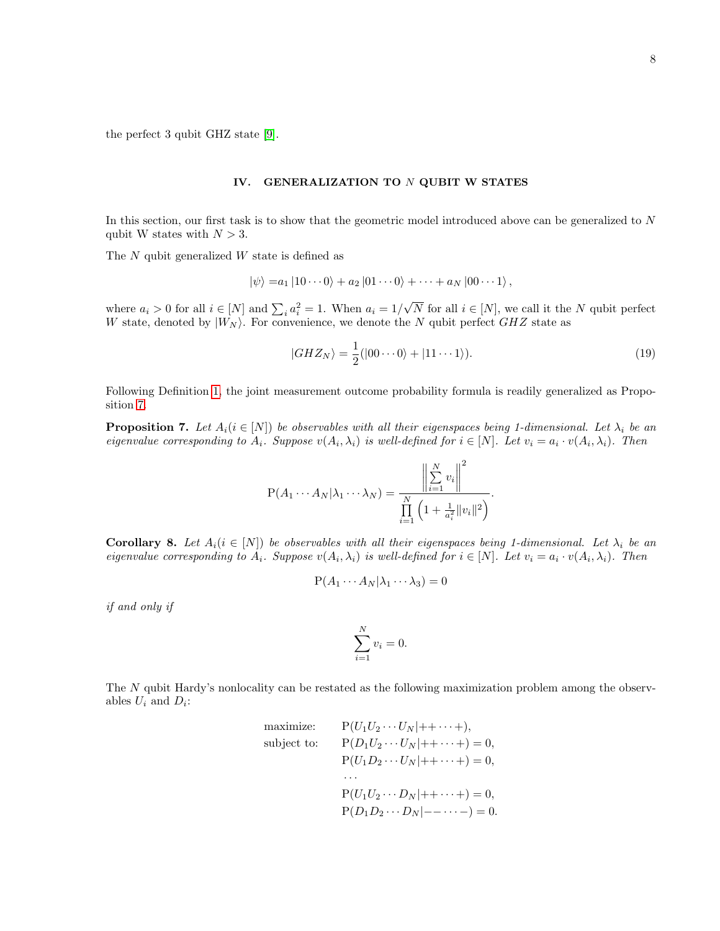the perfect 3 qubit GHZ state [\[9\]](#page-12-9).

### IV. GENERALIZATION TO N QUBIT W STATES

In this section, our first task is to show that the geometric model introduced above can be generalized to  $N$ qubit W states with  $N > 3$ .

The N qubit generalized W state is defined as

$$
|\psi\rangle = a_1 |10 \cdots 0\rangle + a_2 |01 \cdots 0\rangle + \cdots + a_N |00 \cdots 1\rangle,
$$

where  $a_i > 0$  for all  $i \in [N]$  and  $\sum_i a_i^2 = 1$ . When  $a_i = 1/$ √ N for all  $i \in [N]$ , we call it the N qubit perfect W state, denoted by  $|W_N\rangle$ . For convenience, we denote the N qubit perfect GHZ state as

$$
|GHZ_N\rangle = \frac{1}{2}(|00\cdots0\rangle + |11\cdots1\rangle).
$$
\n(19)

Following Definition [1,](#page-2-0) the joint measurement outcome probability formula is readily generalized as Proposition [7.](#page-7-0)

<span id="page-7-0"></span>**Proposition 7.** Let  $A_i (i \in [N])$  be observables with all their eigenspaces being 1-dimensional. Let  $\lambda_i$  be an eigenvalue corresponding to  $A_i$ . Suppose  $v(A_i, \lambda_i)$  is well-defined for  $i \in [N]$ . Let  $v_i = a_i \cdot v(A_i, \lambda_i)$ . Then

$$
P(A_1 \cdots A_N | \lambda_1 \cdots \lambda_N) = \frac{\left\| \sum_{i=1}^N v_i \right\|^2}{\prod_{i=1}^N \left(1 + \frac{1}{a_i^2} ||v_i||^2\right)}.
$$

Corollary 8. Let  $A_i(i \in [N])$  be observables with all their eigenspaces being 1-dimensional. Let  $\lambda_i$  be an eigenvalue corresponding to  $A_i$ . Suppose  $v(A_i, \lambda_i)$  is well-defined for  $i \in [N]$ . Let  $v_i = a_i \cdot v(A_i, \lambda_i)$ . Then

$$
P(A_1 \cdots A_N | \lambda_1 \cdots \lambda_3) = 0
$$

if and only if

$$
\sum_{i=1}^{N} v_i = 0.
$$

The N qubit Hardy's nonlocality can be restated as the following maximization problem among the observables  $U_i$  and  $D_i$ :

maximize: 
$$
P(U_1U_2 \cdots U_N|++\cdots+)
$$
,  
\nsubject to:  $P(D_1U_2 \cdots U_N|++\cdots+)=0$ ,  
\n $P(U_1D_2 \cdots U_N|++\cdots+)=0$ ,  
\n $\cdots$   
\n $P(U_1U_2 \cdots D_N|++\cdots+)=0$ ,  
\n $P(D_1D_2 \cdots D_N|--\cdots-) = 0$ .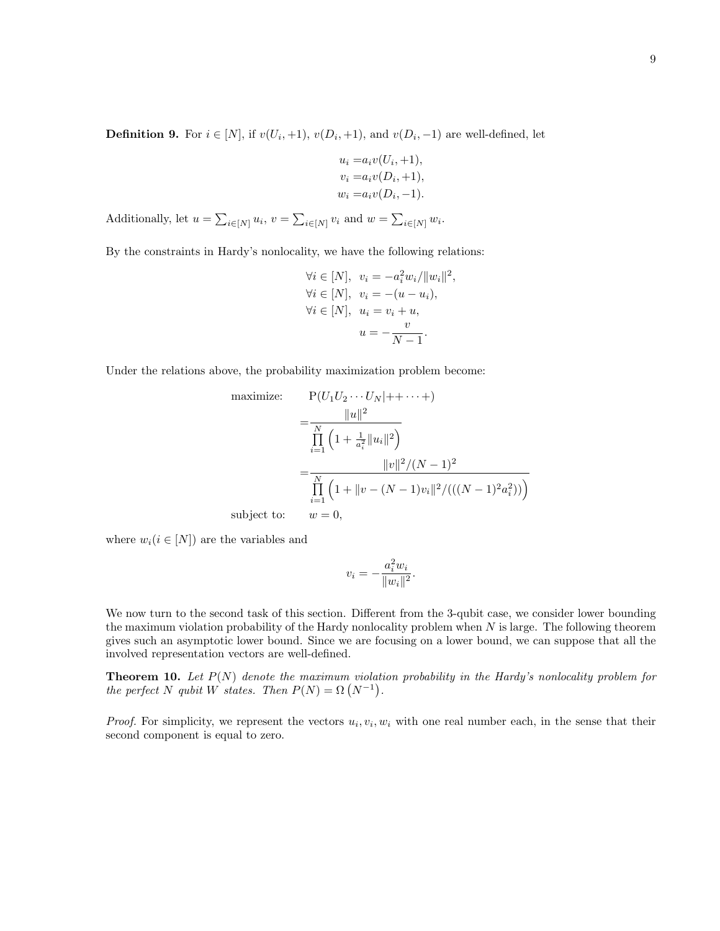$$
u_i = a_i v(U_i, +1),
$$
  
\n
$$
v_i = a_i v(D_i, +1),
$$
  
\n
$$
w_i = a_i v(D_i, -1).
$$

Additionally, let  $u = \sum_{i \in [N]} u_i$ ,  $v = \sum_{i \in [N]} v_i$  and  $w = \sum_{i \in [N]} w_i$ .

By the constraints in Hardy's nonlocality, we have the following relations:

$$
\forall i \in [N], v_i = -a_i^2 w_i / ||w_i||^2,
$$
  
\n
$$
\forall i \in [N], v_i = -(u - u_i),
$$
  
\n
$$
\forall i \in [N], u_i = v_i + u,
$$
  
\n
$$
u = -\frac{v}{N - 1}.
$$

Under the relations above, the probability maximization problem become:

maximize: 
$$
P(U_1U_2\cdots U_N|++\cdots+)
$$
  
= 
$$
\frac{\|u\|^2}{\prod_{i=1}^N (1+\frac{1}{a_i^2}\|u_i\|^2)}
$$
  
= 
$$
\frac{\|v\|^2/(N-1)^2}{\prod_{i=1}^N (1+\|v-(N-1)v_i\|^2/(((N-1)^2a_i^2)))}
$$
  
subject to: 
$$
w=0,
$$

where  $w_i(i \in [N])$  are the variables and

$$
v_i = -\frac{a_i^2 w_i}{\|w_i\|^2}.
$$

We now turn to the second task of this section. Different from the 3-qubit case, we consider lower bounding the maximum violation probability of the Hardy nonlocality problem when  $N$  is large. The following theorem gives such an asymptotic lower bound. Since we are focusing on a lower bound, we can suppose that all the involved representation vectors are well-defined.

**Theorem 10.** Let  $P(N)$  denote the maximum violation probability in the Hardy's nonlocality problem for the perfect N qubit W states. Then  $P(N) = \Omega (N^{-1})$ .

*Proof.* For simplicity, we represent the vectors  $u_i, v_i, w_i$  with one real number each, in the sense that their second component is equal to zero.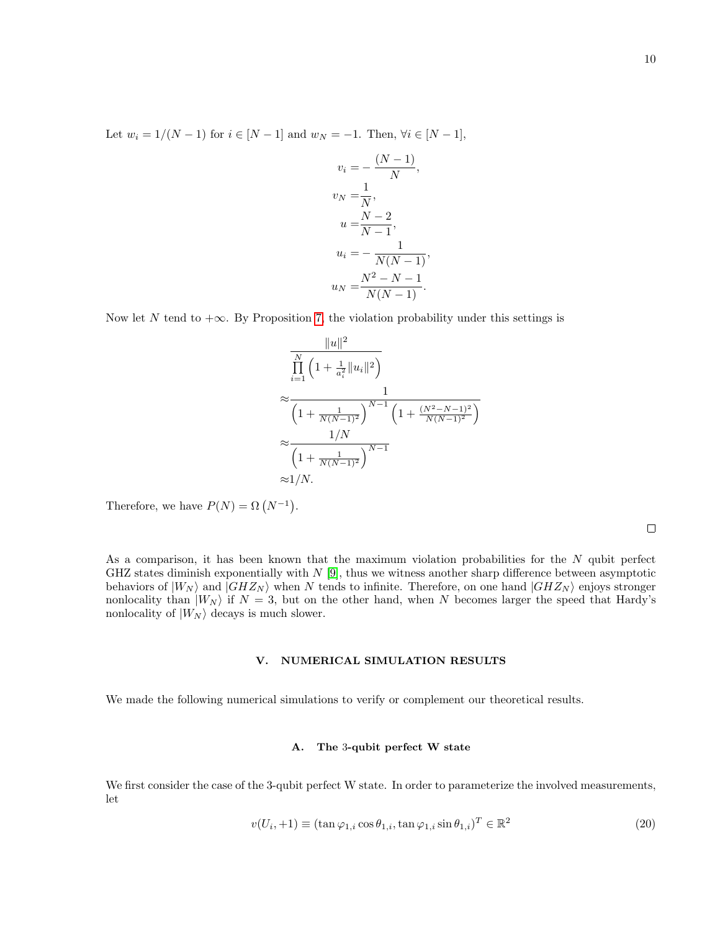Let  $w_i = 1/(N-1)$  for  $i \in [N-1]$  and  $w_N = -1$ . Then,  $\forall i \in [N-1]$ ,

$$
v_i = -\frac{(N-1)}{N},
$$
  
\n
$$
v_N = \frac{1}{N},
$$
  
\n
$$
u = \frac{N-2}{N-1},
$$
  
\n
$$
u_i = -\frac{1}{N(N-1)},
$$
  
\n
$$
u_N = \frac{N^2 - N - 1}{N(N-1)}.
$$

Now let N tend to  $+\infty$ . By Proposition [7,](#page-7-0) the violation probability under this settings is

$$
\frac{\|u\|^2}{\prod_{i=1}^N \left(1 + \frac{1}{a_i^2} \|u_i\|^2\right)}
$$
\n
$$
\approx \frac{1}{\left(1 + \frac{1}{N(N-1)^2}\right)^{N-1} \left(1 + \frac{(N^2 - N - 1)^2}{N(N-1)^2}\right)}
$$
\n
$$
\approx \frac{1/N}{\left(1 + \frac{1}{N(N-1)^2}\right)^{N-1}}
$$
\n
$$
\approx 1/N.
$$

Therefore, we have  $P(N) = \Omega (N^{-1}).$ 

As a comparison, it has been known that the maximum violation probabilities for the  $N$  qubit perfect GHZ states diminish exponentially with  $N$  [\[9\]](#page-12-9), thus we witness another sharp difference between asymptotic behaviors of  $|W_N\rangle$  and  $|GHZ_N\rangle$  when N tends to infinite. Therefore, on one hand  $|GHZ_N\rangle$  enjoys stronger nonlocality than  $|W_N\rangle$  if  $N = 3$ , but on the other hand, when N becomes larger the speed that Hardy's nonlocality of  $|W_N\rangle$  decays is much slower.

### V. NUMERICAL SIMULATION RESULTS

We made the following numerical simulations to verify or complement our theoretical results.

#### A. The 3-qubit perfect W state

We first consider the case of the 3-qubit perfect W state. In order to parameterize the involved measurements, let

$$
v(U_i, +1) \equiv (\tan \varphi_{1,i} \cos \theta_{1,i}, \tan \varphi_{1,i} \sin \theta_{1,i})^T \in \mathbb{R}^2
$$
\n(20)

 $\Box$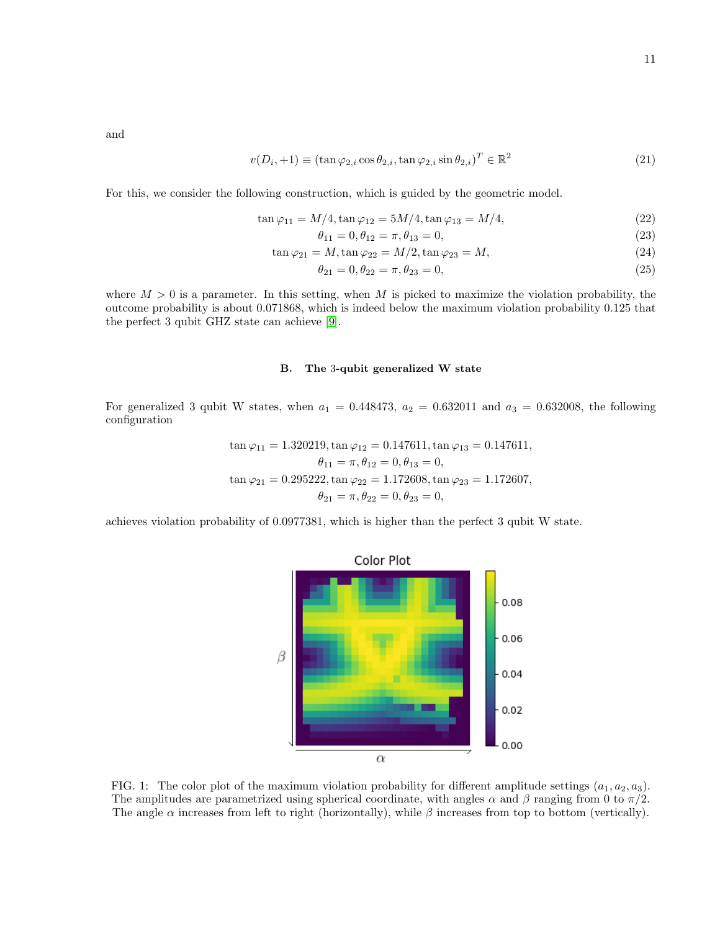and

$$
v(D_i, +1) \equiv (\tan \varphi_{2,i} \cos \theta_{2,i}, \tan \varphi_{2,i} \sin \theta_{2,i})^T \in \mathbb{R}^2
$$
\n(21)

For this, we consider the following construction, which is guided by the geometric model.

$$
\tan \varphi_{11} = M/4, \tan \varphi_{12} = 5M/4, \tan \varphi_{13} = M/4,
$$
\n(22)

$$
\theta_{11} = 0, \theta_{12} = \pi, \theta_{13} = 0,\tag{23}
$$

$$
\tan \varphi_{21} = M, \tan \varphi_{22} = M/2, \tan \varphi_{23} = M,\tag{24}
$$

$$
\theta_{21} = 0, \theta_{22} = \pi, \theta_{23} = 0,\tag{25}
$$

where  $M > 0$  is a parameter. In this setting, when M is picked to maximize the violation probability, the outcome probability is about 0.071868, which is indeed below the maximum violation probability 0.125 that the perfect 3 qubit GHZ state can achieve [\[9\]](#page-12-9).

## B. The 3-qubit generalized W state

For generalized 3 qubit W states, when  $a_1 = 0.448473$ ,  $a_2 = 0.632011$  and  $a_3 = 0.632008$ , the following configuration

$$
\tan \varphi_{11} = 1.320219, \tan \varphi_{12} = 0.147611, \tan \varphi_{13} = 0.147611,
$$
  
\n
$$
\theta_{11} = \pi, \theta_{12} = 0, \theta_{13} = 0,
$$
  
\n
$$
\tan \varphi_{21} = 0.295222, \tan \varphi_{22} = 1.172608, \tan \varphi_{23} = 1.172607,
$$
  
\n
$$
\theta_{21} = \pi, \theta_{22} = 0, \theta_{23} = 0,
$$

achieves violation probability of 0.0977381, which is higher than the perfect 3 qubit W state.



<span id="page-10-0"></span>FIG. 1: The color plot of the maximum violation probability for different amplitude settings  $(a_1, a_2, a_3)$ . The amplitudes are parametrized using spherical coordinate, with angles  $\alpha$  and  $\beta$  ranging from 0 to  $\pi/2$ . The angle  $\alpha$  increases from left to right (horizontally), while  $\beta$  increases from top to bottom (vertically).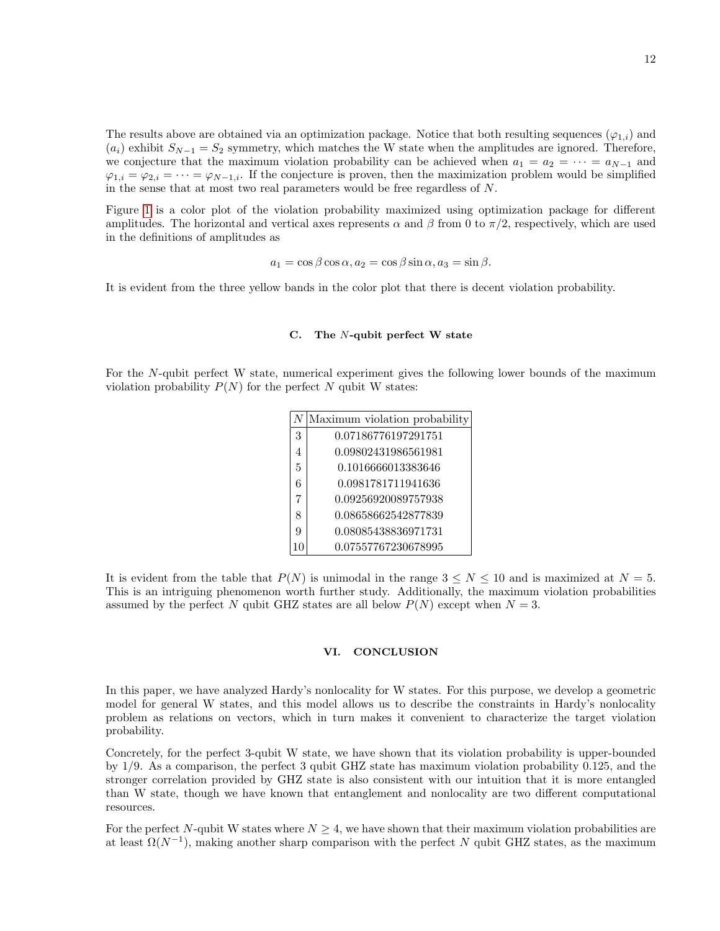The results above are obtained via an optimization package. Notice that both resulting sequences ( $\varphi_{1,i}$ ) and  $(a_i)$  exhibit  $S_{N-1} = S_2$  symmetry, which matches the W state when the amplitudes are ignored. Therefore, we conjecture that the maximum violation probability can be achieved when  $a_1 = a_2 = \cdots = a_{N-1}$  and  $\varphi_{1,i} = \varphi_{2,i} = \cdots = \varphi_{N-1,i}$ . If the conjecture is proven, then the maximization problem would be simplified in the sense that at most two real parameters would be free regardless of N.

Figure [1](#page-10-0) is a color plot of the violation probability maximized using optimization package for different amplitudes. The horizontal and vertical axes represents  $\alpha$  and  $\beta$  from 0 to  $\pi/2$ , respectively, which are used in the definitions of amplitudes as

$$
a_1 = \cos \beta \cos \alpha, a_2 = \cos \beta \sin \alpha, a_3 = \sin \beta.
$$

It is evident from the three yellow bands in the color plot that there is decent violation probability.

## C. The N-qubit perfect W state

For the N-qubit perfect W state, numerical experiment gives the following lower bounds of the maximum violation probability  $P(N)$  for the perfect N qubit W states:

|   | Maximum violation probability |
|---|-------------------------------|
| 3 | 0.07186776197291751           |
| 4 | 0.09802431986561981           |
| 5 | 0.1016666013383646            |
| 6 | 0.0981781711941636            |
| 7 | 0.09256920089757938           |
| 8 | 0.08658662542877839           |
| 9 | 0.08085438836971731           |
|   | 0.07557767230678995           |

It is evident from the table that  $P(N)$  is unimodal in the range  $3 \le N \le 10$  and is maximized at  $N = 5$ . This is an intriguing phenomenon worth further study. Additionally, the maximum violation probabilities assumed by the perfect N qubit GHZ states are all below  $P(N)$  except when  $N = 3$ .

### VI. CONCLUSION

In this paper, we have analyzed Hardy's nonlocality for W states. For this purpose, we develop a geometric model for general W states, and this model allows us to describe the constraints in Hardy's nonlocality problem as relations on vectors, which in turn makes it convenient to characterize the target violation probability.

Concretely, for the perfect 3-qubit W state, we have shown that its violation probability is upper-bounded by 1/9. As a comparison, the perfect 3 qubit GHZ state has maximum violation probability 0.125, and the stronger correlation provided by GHZ state is also consistent with our intuition that it is more entangled than W state, though we have known that entanglement and nonlocality are two different computational resources.

For the perfect N-qubit W states where  $N \geq 4$ , we have shown that their maximum violation probabilities are at least  $\Omega(N^{-1})$ , making another sharp comparison with the perfect N qubit GHZ states, as the maximum